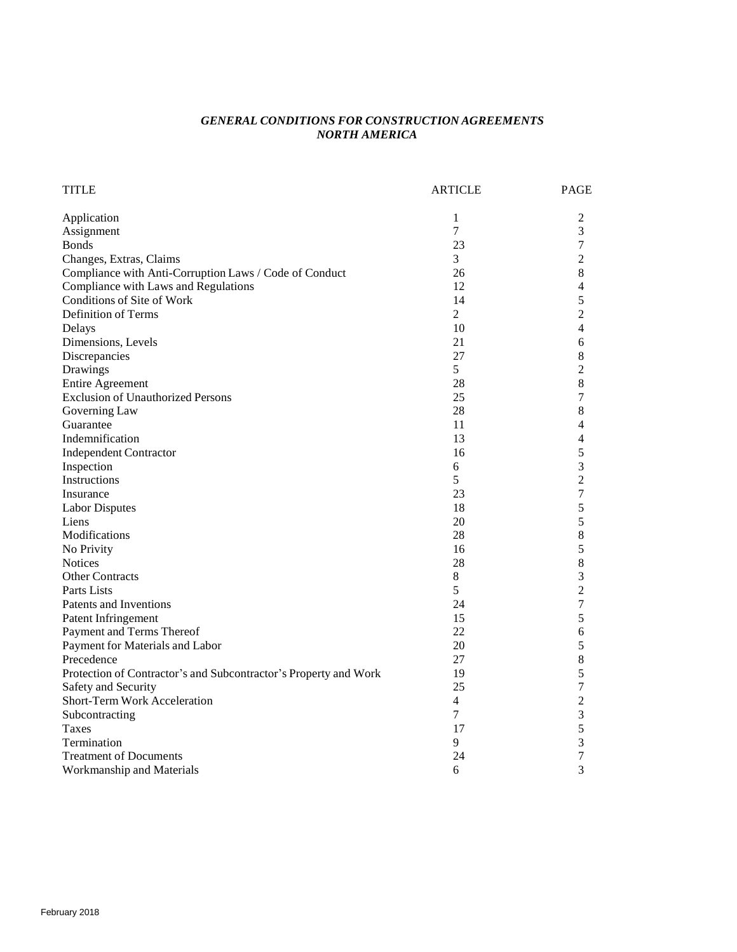# *GENERAL CONDITIONS FOR CONSTRUCTION AGREEMENTS NORTH AMERICA*

| <b>TITLE</b>                                                     | <b>ARTICLE</b> | <b>PAGE</b>    |
|------------------------------------------------------------------|----------------|----------------|
| Application                                                      | 1              | $\mathfrak{2}$ |
| Assignment                                                       | 7              | 3              |
| <b>Bonds</b>                                                     | 23             | 7              |
| Changes, Extras, Claims                                          | $\overline{3}$ | $\overline{c}$ |
| Compliance with Anti-Corruption Laws / Code of Conduct           | 26             | 8              |
| Compliance with Laws and Regulations                             | 12             | 4              |
| Conditions of Site of Work                                       | 14             | 5              |
| Definition of Terms                                              | $\overline{2}$ | 2              |
| Delays                                                           | 10             | 4              |
| Dimensions, Levels                                               | 21             | 6              |
| Discrepancies                                                    | 27             | 8              |
| Drawings                                                         | 5              | $\overline{c}$ |
| <b>Entire Agreement</b>                                          | 28             | $\,8\,$        |
| <b>Exclusion of Unauthorized Persons</b>                         | 25             | 7              |
| Governing Law                                                    | 28             | 8              |
| Guarantee                                                        | 11             | 4              |
| Indemnification                                                  | 13             | 4              |
| <b>Independent Contractor</b>                                    | 16             | 5              |
| Inspection                                                       | 6              | 3              |
| Instructions                                                     | 5              | $\overline{c}$ |
| Insurance                                                        | 23             | 7              |
| <b>Labor Disputes</b>                                            | 18             | 5              |
| Liens                                                            | 20             | 5              |
| Modifications                                                    | 28             | 8              |
| No Privity                                                       | 16             | 5              |
| <b>Notices</b>                                                   | 28             | $\,8\,$        |
| <b>Other Contracts</b>                                           | $8\,$          | 3              |
| Parts Lists                                                      | 5              | $\overline{c}$ |
| Patents and Inventions                                           | 24             | 7              |
| Patent Infringement                                              | 15             | 5              |
| Payment and Terms Thereof                                        | 22             | 6              |
| Payment for Materials and Labor                                  | 20             | 5              |
| Precedence                                                       | 27             | $\,8\,$        |
| Protection of Contractor's and Subcontractor's Property and Work | 19             | 5              |
| Safety and Security                                              | 25             | 7              |
| <b>Short-Term Work Acceleration</b>                              | 4              | $\overline{c}$ |
| Subcontracting                                                   | $\overline{7}$ | 3              |
| <b>Taxes</b>                                                     | 17             | 5              |
| Termination                                                      | 9              | 3              |
| <b>Treatment of Documents</b>                                    | 24             | 7              |
| Workmanship and Materials                                        | 6              | 3              |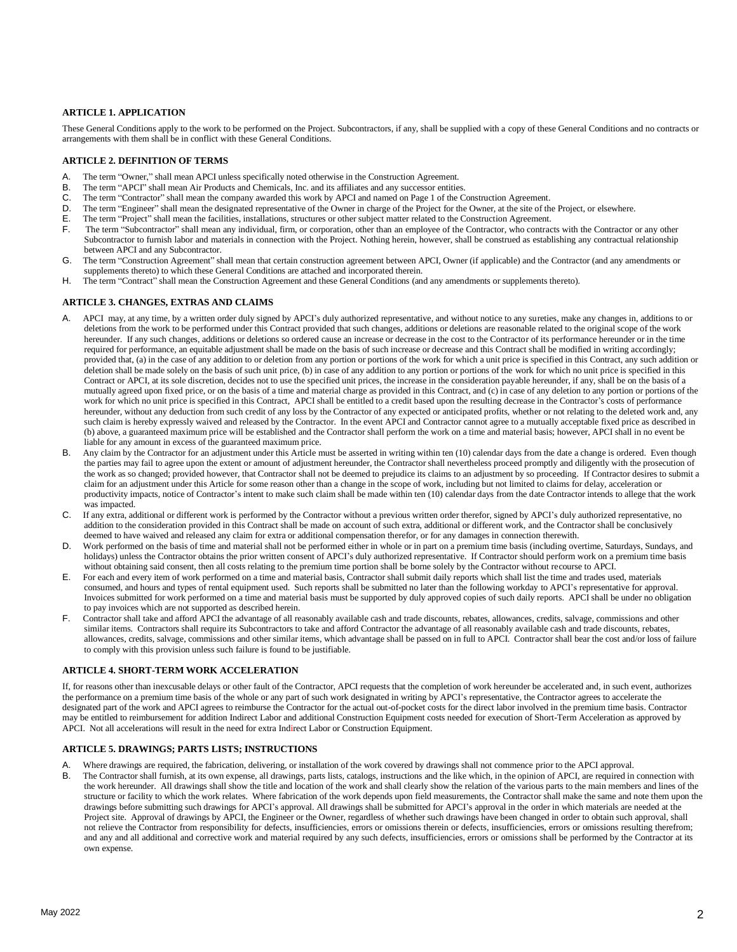# **ARTICLE 1. APPLICATION**

These General Conditions apply to the work to be performed on the Project. Subcontractors, if any, shall be supplied with a copy of these General Conditions and no contracts or arrangements with them shall be in conflict with these General Conditions.

## **ARTICLE 2. DEFINITION OF TERMS**

- The term "Owner," shall mean APCI unless specifically noted otherwise in the Construction Agreement.
- B. The term "APCI" shall mean Air Products and Chemicals, Inc. and its affiliates and any successor entities.<br>C. The term "Contractor" shall mean the company awarded this work by APCI and named on Page 1 of the C
- The term "Contractor" shall mean the company awarded this work by APCI and named on Page 1 of the Construction Agreement.
- D. The term "Engineer" shall mean the designated representative of the Owner in charge of the Project for the Owner, at the site of the Project, or elsewhere.
- E. The term "Project" shall mean the facilities, installations, structures or other subject matter related to the Construction Agreement.
- The term "Subcontractor" shall mean any individual, firm, or corporation, other than an employee of the Contractor, who contracts with the Contractor or any other Subcontractor to furnish labor and materials in connection with the Project. Nothing herein, however, shall be construed as establishing any contractual relationship between APCI and any Subcontractor.
- G. The term "Construction Agreement" shall mean that certain construction agreement between APCI, Owner (if applicable) and the Contractor (and any amendments or supplements thereto) to which these General Conditions are attached and incorporated therein.
- H. The term "Contract" shall mean the Construction Agreement and these General Conditions (and any amendments or supplements thereto).

## **ARTICLE 3. CHANGES, EXTRAS AND CLAIMS**

- A. APCI may, at any time, by a written order duly signed by APCI's duly authorized representative, and without notice to any sureties, make any changes in, additions to or deletions from the work to be performed under this Contract provided that such changes, additions or deletions are reasonable related to the original scope of the work hereunder. If any such changes, additions or deletions so ordered cause an increase or decrease in the cost to the Contractor of its performance hereunder or in the time required for performance, an equitable adjustment shall be made on the basis of such increase or decrease and this Contract shall be modified in writing accordingly; provided that, (a) in the case of any addition to or deletion from any portion or portions of the work for which a unit price is specified in this Contract, any such addition or deletion shall be made solely on the basis of such unit price, (b) in case of any addition to any portion or portions of the work for which no unit price is specified in this Contract or APCI, at its sole discretion, decides not to use the specified unit prices, the increase in the consideration payable hereunder, if any, shall be on the basis of a mutually agreed upon fixed price, or on the basis of a time and material charge as provided in this Contract, and (c) in case of any deletion to any portion or portions of the work for which no unit price is specified in this Contract, APCI shall be entitled to a credit based upon the resulting decrease in the Contractor's costs of performance hereunder, without any deduction from such credit of any loss by the Contractor of any expected or anticipated profits, whether or not relating to the deleted work and, any such claim is hereby expressly waived and released by the Contractor. In the event APCI and Contractor cannot agree to a mutually acceptable fixed price as described in (b) above, a guaranteed maximum price will be established and the Contractor shall perform the work on a time and material basis; however, APCI shall in no event be liable for any amount in excess of the guaranteed maximum price.
- B. Any claim by the Contractor for an adjustment under this Article must be asserted in writing within ten (10) calendar days from the date a change is ordered. Even though the parties may fail to agree upon the extent or amount of adjustment hereunder, the Contractor shall nevertheless proceed promptly and diligently with the prosecution of the work as so changed; provided however, that Contractor shall not be deemed to prejudice its claims to an adjustment by so proceeding. If Contractor desires to submit a claim for an adjustment under this Article for some reason other than a change in the scope of work, including but not limited to claims for delay, acceleration or productivity impacts, notice of Contractor's intent to make such claim shall be made within ten (10) calendar days from the date Contractor intends to allege that the work was impacted.
- C. If any extra, additional or different work is performed by the Contractor without a previous written order therefor, signed by APCI's duly authorized representative, no addition to the consideration provided in this Contract shall be made on account of such extra, additional or different work, and the Contractor shall be conclusively deemed to have waived and released any claim for extra or additional compensation therefor, or for any damages in connection therewith.
- D. Work performed on the basis of time and material shall not be performed either in whole or in part on a premium time basis (including overtime, Saturdays, Sundays, and holidays) unless the Contractor obtains the prior written consent of APCI's duly authorized representative. If Contractor should perform work on a premium time basis without obtaining said consent, then all costs relating to the premium time portion shall be borne solely by the Contractor without recourse to APCI.
- E. For each and every item of work performed on a time and material basis, Contractor shall submit daily reports which shall list the time and trades used, materials consumed, and hours and types of rental equipment used. Such reports shall be submitted no later than the following workday to APCI's representative for approval. Invoices submitted for work performed on a time and material basis must be supported by duly approved copies of such daily reports. APCI shall be under no obligation to pay invoices which are not supported as described herein.
- F. Contractor shall take and afford APCI the advantage of all reasonably available cash and trade discounts, rebates, allowances, credits, salvage, commissions and other similar items. Contractors shall require its Subcontractors to take and afford Contractor the advantage of all reasonably available cash and trade discounts, rebates, allowances, credits, salvage, commissions and other similar items, which advantage shall be passed on in full to APCI. Contractor shall bear the cost and/or loss of failure to comply with this provision unless such failure is found to be justifiable.

#### **ARTICLE 4. SHORT-TERM WORK ACCELERATION**

If, for reasons other than inexcusable delays or other fault of the Contractor, APCI requests that the completion of work hereunder be accelerated and, in such event, authorizes the performance on a premium time basis of the whole or any part of such work designated in writing by APCI's representative, the Contractor agrees to accelerate the designated part of the work and APCI agrees to reimburse the Contractor for the actual out-of-pocket costs for the direct labor involved in the premium time basis. Contractor may be entitled to reimbursement for addition Indirect Labor and additional Construction Equipment costs needed for execution of Short-Term Acceleration as approved by APCI. Not all accelerations will result in the need for extra Indirect Labor or Construction Equipment.

#### **ARTICLE 5. DRAWINGS; PARTS LISTS; INSTRUCTIONS**

- A. Where drawings are required, the fabrication, delivering, or installation of the work covered by drawings shall not commence prior to the APCI approval.
- B. The Contractor shall furnish, at its own expense, all drawings, parts lists, catalogs, instructions and the like which, in the opinion of APCI, are required in connection with the work hereunder. All drawings shall show the title and location of the work and shall clearly show the relation of the various parts to the main members and lines of the structure or facility to which the work relates. Where fabrication of the work depends upon field measurements, the Contractor shall make the same and note them upon the drawings before submitting such drawings for APCI's approval. All drawings shall be submitted for APCI's approval in the order in which materials are needed at the Project site. Approval of drawings by APCI, the Engineer or the Owner, regardless of whether such drawings have been changed in order to obtain such approval, shall not relieve the Contractor from responsibility for defects, insufficiencies, errors or omissions therein or defects, insufficiencies, errors or omissions resulting therefrom; and any and all additional and corrective work and material required by any such defects, insufficiencies, errors or omissions shall be performed by the Contractor at its own expense.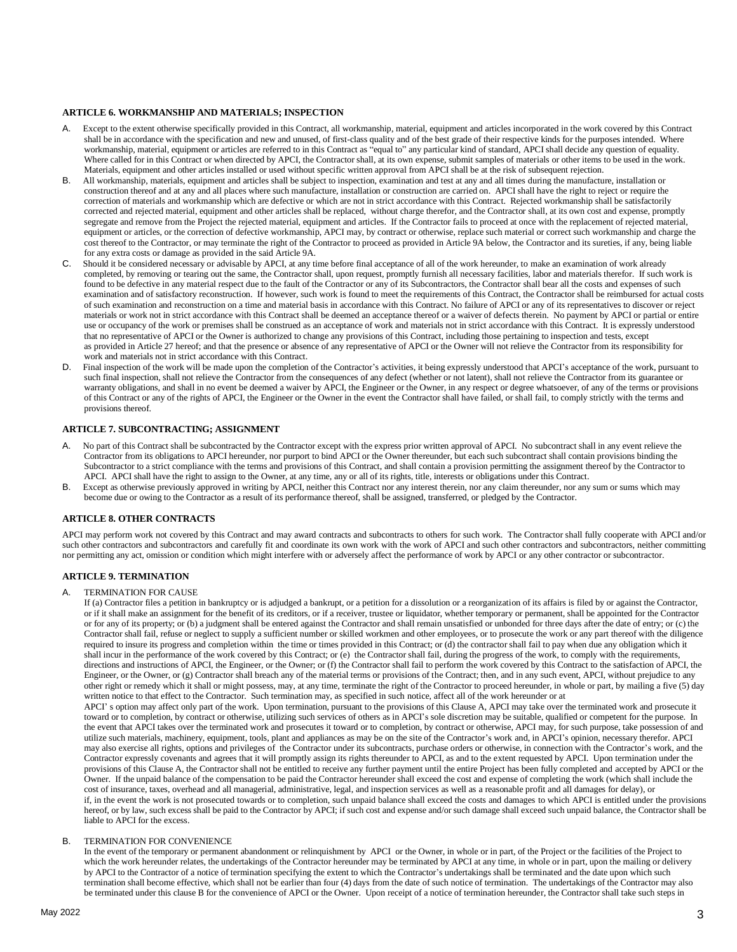## **ARTICLE 6. WORKMANSHIP AND MATERIALS; INSPECTION**

- A. Except to the extent otherwise specifically provided in this Contract, all workmanship, material, equipment and articles incorporated in the work covered by this Contract shall be in accordance with the specification and new and unused, of first-class quality and of the best grade of their respective kinds for the purposes intended. Where workmanship, material, equipment or articles are referred to in this Contract as "equal to" any particular kind of standard, APCI shall decide any question of equality. Where called for in this Contract or when directed by APCI, the Contractor shall, at its own expense, submit samples of materials or other items to be used in the work. Materials, equipment and other articles installed or used without specific written approval from APCI shall be at the risk of subsequent rejection.
- B. All workmanship, materials, equipment and articles shall be subject to inspection, examination and test at any and all times during the manufacture, installation or construction thereof and at any and all places where such manufacture, installation or construction are carried on. APCI shall have the right to reject or require the correction of materials and workmanship which are defective or which are not in strict accordance with this Contract. Rejected workmanship shall be satisfactorily corrected and rejected material, equipment and other articles shall be replaced, without charge therefor, and the Contractor shall, at its own cost and expense, promptly segregate and remove from the Project the rejected material, equipment and articles. If the Contractor fails to proceed at once with the replacement of rejected material, equipment or articles, or the correction of defective workmanship, APCI may, by contract or otherwise, replace such material or correct such workmanship and charge the cost thereof to the Contractor, or may terminate the right of the Contractor to proceed as provided in Article 9A below, the Contractor and its sureties, if any, being liable for any extra costs or damage as provided in the said Article 9A.
- Should it be considered necessary or advisable by APCI, at any time before final acceptance of all of the work hereunder, to make an examination of work already completed, by removing or tearing out the same, the Contractor shall, upon request, promptly furnish all necessary facilities, labor and materials therefor. If such work is found to be defective in any material respect due to the fault of the Contractor or any of its Subcontractors, the Contractor shall bear all the costs and expenses of such examination and of satisfactory reconstruction. If however, such work is found to meet the requirements of this Contract, the Contractor shall be reimbursed for actual costs of such examination and reconstruction on a time and material basis in accordance with this Contract. No failure of APCI or any of its representatives to discover or reject materials or work not in strict accordance with this Contract shall be deemed an acceptance thereof or a waiver of defects therein. No payment by APCI or partial or entire use or occupancy of the work or premises shall be construed as an acceptance of work and materials not in strict accordance with this Contract. It is expressly understood that no representative of APCI or the Owner is authorized to change any provisions of this Contract, including those pertaining to inspection and tests, except as provided in Article 27 hereof; and that the presence or absence of any representative of APCI or the Owner will not relieve the Contractor from its responsibility for work and materials not in strict accordance with this Contract.
- D. Final inspection of the work will be made upon the completion of the Contractor's activities, it being expressly understood that APCI's acceptance of the work, pursuant to such final inspection, shall not relieve the Contractor from the consequences of any defect (whether or not latent), shall not relieve the Contractor from its guarantee or warranty obligations, and shall in no event be deemed a waiver by APCI, the Engineer or the Owner, in any respect or degree whatsoever, of any of the terms or provisions of this Contract or any of the rights of APCI, the Engineer or the Owner in the event the Contractor shall have failed, or shall fail, to comply strictly with the terms and provisions thereof.

# **ARTICLE 7. SUBCONTRACTING; ASSIGNMENT**

- A. No part of this Contract shall be subcontracted by the Contractor except with the express prior written approval of APCI. No subcontract shall in any event relieve the Contractor from its obligations to APCI hereunder, nor purport to bind APCI or the Owner thereunder, but each such subcontract shall contain provisions binding the Subcontractor to a strict compliance with the terms and provisions of this Contract, and shall contain a provision permitting the assignment thereof by the Contractor to APCI. APCI shall have the right to assign to the Owner, at any time, any or all of its rights, title, interests or obligations under this Contract.
- B. Except as otherwise previously approved in writing by APCI, neither this Contract nor any interest therein, nor any claim thereunder, nor any sum or sums which may become due or owing to the Contractor as a result of its performance thereof, shall be assigned, transferred, or pledged by the Contractor.

# **ARTICLE 8. OTHER CONTRACTS**

APCI may perform work not covered by this Contract and may award contracts and subcontracts to others for such work. The Contractor shall fully cooperate with APCI and/or such other contractors and subcontractors and carefully fit and coordinate its own work with the work of APCI and such other contractors and subcontractors, neither committing nor permitting any act, omission or condition which might interfere with or adversely affect the performance of work by APCI or any other contractor or subcontractor.

#### **ARTICLE 9. TERMINATION**

#### A. TERMINATION FOR CAUSE

If (a) Contractor files a petition in bankruptcy or is adjudged a bankrupt, or a petition for a dissolution or a reorganization of its affairs is filed by or against the Contractor, or if it shall make an assignment for the benefit of its creditors, or if a receiver, trustee or liquidator, whether temporary or permanent, shall be appointed for the Contractor or for any of its property; or (b) a judgment shall be entered against the Contractor and shall remain unsatisfied or unbonded for three days after the date of entry; or (c) the Contractor shall fail, refuse or neglect to supply a sufficient number or skilled workmen and other employees, or to prosecute the work or any part thereof with the diligence required to insure its progress and completion within the time or times provided in this Contract; or (d) the contractor shall fail to pay when due any obligation which it shall incur in the performance of the work covered by this Contract; or (e) the Contractor shall fail, during the progress of the work, to comply with the requirements, directions and instructions of APCI, the Engineer, or the Owner; or (f) the Contractor shall fail to perform the work covered by this Contract to the satisfaction of APCI, the Engineer, or the Owner, or (g) Contractor shall breach any of the material terms or provisions of the Contract; then, and in any such event, APCI, without prejudice to any other right or remedy which it shall or might possess, may, at any time, terminate the right of the Contractor to proceed hereunder, in whole or part, by mailing a five (5) day written notice to that effect to the Contractor. Such termination may, as specified in such notice, affect all of the work hereunder or at

APCI' s option may affect only part of the work. Upon termination, pursuant to the provisions of this Clause A, APCI may take over the terminated work and prosecute it toward or to completion, by contract or otherwise, utilizing such services of others as in APCI's sole discretion may be suitable, qualified or competent for the purpose. In the event that APCI takes over the terminated work and prosecutes it toward or to completion, by contract or otherwise, APCI may, for such purpose, take possession of and utilize such materials, machinery, equipment, tools, plant and appliances as may be on the site of the Contractor's work and, in APCI's opinion, necessary therefor. APCI may also exercise all rights, options and privileges of the Contractor under its subcontracts, purchase orders or otherwise, in connection with the Contractor's work, and the Contractor expressly covenants and agrees that it will promptly assign its rights thereunder to APCI, as and to the extent requested by APCI. Upon termination under the provisions of this Clause A, the Contractor shall not be entitled to receive any further payment until the entire Project has been fully completed and accepted by APCI or the Owner. If the unpaid balance of the compensation to be paid the Contractor hereunder shall exceed the cost and expense of completing the work (which shall include the cost of insurance, taxes, overhead and all managerial, administrative, legal, and inspection services as well as a reasonable profit and all damages for delay), or if, in the event the work is not prosecuted towards or to completion, such unpaid balance shall exceed the costs and damages to which APCI is entitled under the provisions hereof, or by law, such excess shall be paid to the Contractor by APCI; if such cost and expense and/or such damage shall exceed such unpaid balance, the Contractor shall be liable to APCI for the excess.

## B. TERMINATION FOR CONVENIENCE

In the event of the temporary or permanent abandonment or relinquishment by APCI or the Owner, in whole or in part, of the Project or the facilities of the Project to which the work hereunder relates, the undertakings of the Contractor hereunder may be terminated by APCI at any time, in whole or in part, upon the mailing or delivery by APCI to the Contractor of a notice of termination specifying the extent to which the Contractor's undertakings shall be terminated and the date upon which such termination shall become effective, which shall not be earlier than four (4) days from the date of such notice of termination. The undertakings of the Contractor may also be terminated under this clause B for the convenience of APCI or the Owner. Upon receipt of a notice of termination hereunder, the Contractor shall take such steps in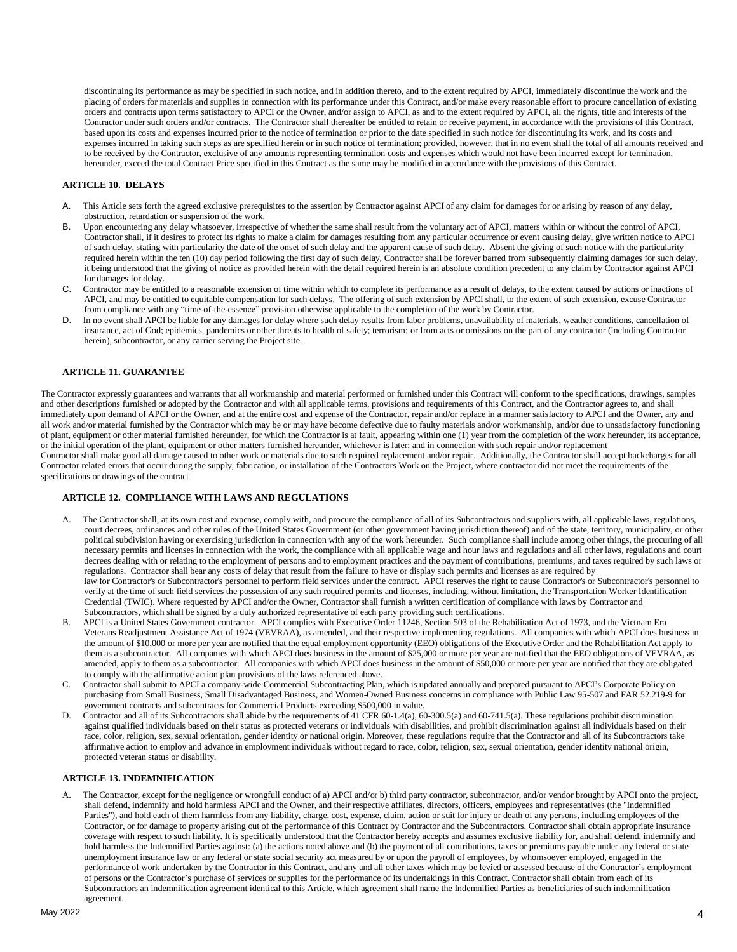discontinuing its performance as may be specified in such notice, and in addition thereto, and to the extent required by APCI, immediately discontinue the work and the placing of orders for materials and supplies in connection with its performance under this Contract, and/or make every reasonable effort to procure cancellation of existing orders and contracts upon terms satisfactory to APCI or the Owner, and/or assign to APCI, as and to the extent required by APCI, all the rights, title and interests of the Contractor under such orders and/or contracts. The Contractor shall thereafter be entitled to retain or receive payment, in accordance with the provisions of this Contract, based upon its costs and expenses incurred prior to the notice of termination or prior to the date specified in such notice for discontinuing its work, and its costs and expenses incurred in taking such steps as are specified herein or in such notice of termination; provided, however, that in no event shall the total of all amounts received and to be received by the Contractor, exclusive of any amounts representing termination costs and expenses which would not have been incurred except for termination, hereunder, exceed the total Contract Price specified in this Contract as the same may be modified in accordance with the provisions of this Contract.

# **ARTICLE 10. DELAYS**

- This Article sets forth the agreed exclusive prerequisites to the assertion by Contractor against APCI of any claim for damages for or arising by reason of any delay, obstruction, retardation or suspension of the work.
- B. Upon encountering any delay whatsoever, irrespective of whether the same shall result from the voluntary act of APCI, matters within or without the control of APCI, Contractor shall, if it desires to protect its rights to make a claim for damages resulting from any particular occurrence or event causing delay, give written notice to APCI of such delay, stating with particularity the date of the onset of such delay and the apparent cause of such delay. Absent the giving of such notice with the particularity required herein within the ten (10) day period following the first day of such delay, Contractor shall be forever barred from subsequently claiming damages for such delay, it being understood that the giving of notice as provided herein with the detail required herein is an absolute condition precedent to any claim by Contractor against APCI for damages for delay.
- C. Contractor may be entitled to a reasonable extension of time within which to complete its performance as a result of delays, to the extent caused by actions or inactions of APCI, and may be entitled to equitable compensation for such delays. The offering of such extension by APCI shall, to the extent of such extension, excuse Contractor from compliance with any "time-of-the-essence" provision otherwise applicable to the completion of the work by Contractor.
- D. In no event shall APCI be liable for any damages for delay where such delay results from labor problems, unavailability of materials, weather conditions, cancellation of insurance, act of God; epidemics, pandemics or other threats to health of safety; terrorism; or from acts or omissions on the part of any contractor (including Contractor herein), subcontractor, or any carrier serving the Project site.

# **ARTICLE 11. GUARANTEE**

The Contractor expressly guarantees and warrants that all workmanship and material performed or furnished under this Contract will conform to the specifications, drawings, samples and other descriptions furnished or adopted by the Contractor and with all applicable terms, provisions and requirements of this Contract, and the Contractor agrees to, and shall immediately upon demand of APCI or the Owner, and at the entire cost and expense of the Contractor, repair and/or replace in a manner satisfactory to APCI and the Owner, any and all work and/or material furnished by the Contractor which may be or may have become defective due to faulty materials and/or workmanship, and/or due to unsatisfactory functioning of plant, equipment or other material furnished hereunder, for which the Contractor is at fault, appearing within one (1) year from the completion of the work hereunder, its acceptance, or the initial operation of the plant, equipment or other matters furnished hereunder, whichever is later; and in connection with such repair and/or replacement

Contractor shall make good all damage caused to other work or materials due to such required replacement and/or repair. Additionally, the Contractor shall accept backcharges for all Contractor related errors that occur during the supply, fabrication, or installation of the Contractors Work on the Project, where contractor did not meet the requirements of the specifications or drawings of the contract

#### **ARTICLE 12. COMPLIANCE WITH LAWS AND REGULATIONS**

- A. The Contractor shall, at its own cost and expense, comply with, and procure the compliance of all of its Subcontractors and suppliers with, all applicable laws, regulations, court decrees, ordinances and other rules of the United States Government (or other government having jurisdiction thereof) and of the state, territory, municipality, or other political subdivision having or exercising jurisdiction in connection with any of the work hereunder. Such compliance shall include among other things, the procuring of all necessary permits and licenses in connection with the work, the compliance with all applicable wage and hour laws and regulations and all other laws, regulations and court decrees dealing with or relating to the employment of persons and to employment practices and the payment of contributions, premiums, and taxes required by such laws or regulations. Contractor shall bear any costs of delay that result from the failure to have or display such permits and licenses as are required by law for Contractor's or Subcontractor's personnel to perform field services under the contract. APCI reserves the right to cause Contractor's or Subcontractor's personnel to verify at the time of such field services the possession of any such required permits and licenses, including, without limitation, the Transportation Worker Identification Credential (TWIC). Where requested by APCI and/or the Owner, Contractor shall furnish a written certification of compliance with laws by Contractor and Subcontractors, which shall be signed by a duly authorized representative of each party providing such certifications.
- B. APCI is a United States Government contractor. APCI complies with Executive Order 11246, Section 503 of the Rehabilitation Act of 1973, and the Vietnam Era Veterans Readjustment Assistance Act of 1974 (VEVRAA), as amended, and their respective implementing regulations. All companies with which APCI does business in the amount of \$10,000 or more per year are notified that the equal employment opportunity (EEO) obligations of the Executive Order and the Rehabilitation Act apply to them as a subcontractor. All companies with which APCI does business in the amount of \$25,000 or more per year are notified that the EEO obligations of VEVRAA, as amended, apply to them as a subcontractor. All companies with which APCI does business in the amount of \$50,000 or more per year are notified that they are obligated to comply with the affirmative action plan provisions of the laws referenced above.
- C. Contractor shall submit to APCI a company-wide Commercial Subcontracting Plan, which is updated annually and prepared pursuant to APCI's Corporate Policy on purchasing from Small Business, Small Disadvantaged Business, and Women-Owned Business concerns in compliance with Public Law 95-507 and FAR 52.219-9 for government contracts and subcontracts for Commercial Products exceeding \$500,000 in value.
- D. Contractor and all of its Subcontractors shall abide by the requirements of 41 CFR 60-1.4(a), 60-300.5(a) and 60-741.5(a). These regulations prohibit discrimination against qualified individuals based on their status as protected veterans or individuals with disabilities, and prohibit discrimination against all individuals based on their race, color, religion, sex, sexual orientation, gender identity or national origin. Moreover, these regulations require that the Contractor and all of its Subcontractors take affirmative action to employ and advance in employment individuals without regard to race, color, religion, sex, sexual orientation, gender identity national origin, protected veteran status or disability.

## **ARTICLE 13. INDEMNIFICATION**

A. The Contractor, except for the negligence or wrongfull conduct of a) APCI and/or b) third party contractor, subcontractor, and/or vendor brought by APCI onto the project, shall defend, indemnify and hold harmless APCI and the Owner, and their respective affiliates, directors, officers, employees and representatives (the "Indemnified Parties"), and hold each of them harmless from any liability, charge, cost, expense, claim, action or suit for injury or death of any persons, including employees of the Contractor, or for damage to property arising out of the performance of this Contractor Subcontractor and the Subcontractors. Contractor shall obtain appropriate insurance coverage with respect to such liability. It is specifically understood that the Contractor hereby accepts and assumes exclusive liability for, and shall defend, indemnify and hold harmless the Indemnified Parties against: (a) the actions noted above and (b) the payment of all contributions, taxes or premiums payable under any federal or state unemployment insurance law or any federal or state social security act measured by or upon the payroll of employees, by whomsoever employed, engaged in the performance of work undertaken by the Contractor in this Contract, and any and all other taxes which may be levied or assessed because of the Contractor's employment of persons or the Contractor's purchase of services or supplies for the performance of its undertakings in this Contract. Contractor shall obtain from each of its Subcontractors an indemnification agreement identical to this Article, which agreement shall name the Indemnified Parties as beneficiaries of such indemnification agreement.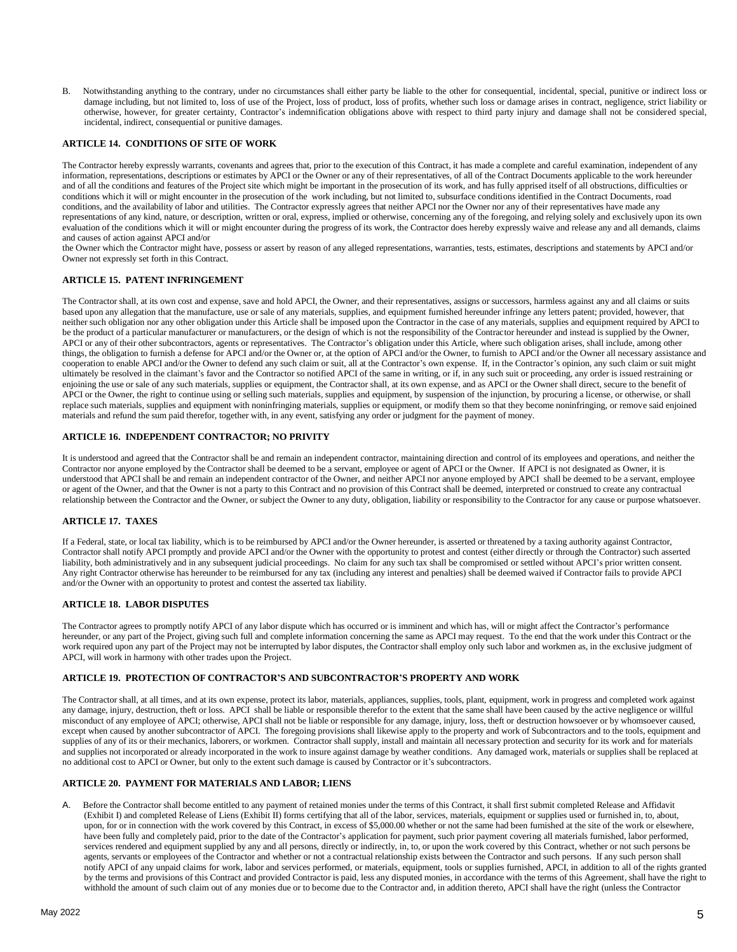B. Notwithstanding anything to the contrary, under no circumstances shall either party be liable to the other for consequential, incidental, special, punitive or indirect loss or damage including, but not limited to, loss of use of the Project, loss of product, loss of profits, whether such loss or damage arises in contract, negligence, strict liability or otherwise, however, for greater certainty, Contractor's indemnification obligations above with respect to third party injury and damage shall not be considered special, incidental, indirect, consequential or punitive damages.

#### **ARTICLE 14. CONDITIONS OF SITE OF WORK**

The Contractor hereby expressly warrants, covenants and agrees that, prior to the execution of this Contract, it has made a complete and careful examination, independent of any information, representations, descriptions or estimates by APCI or the Owner or any of their representatives, of all of the Contract Documents applicable to the work hereunder and of all the conditions and features of the Project site which might be important in the prosecution of its work, and has fully apprised itself of all obstructions, difficulties or conditions which it will or might encounter in the prosecution of the work including, but not limited to, subsurface conditions identified in the Contract Documents, road conditions, and the availability of labor and utilities. The Contractor expressly agrees that neither APCI nor the Owner nor any of their representatives have made any representations of any kind, nature, or description, written or oral, express, implied or otherwise, concerning any of the foregoing, and relying solely and exclusively upon its own evaluation of the conditions which it will or might encounter during the progress of its work, the Contractor does hereby expressly waive and release any and all demands, claims and causes of action against APCI and/or

the Owner which the Contractor might have, possess or assert by reason of any alleged representations, warranties, tests, estimates, descriptions and statements by APCI and/or Owner not expressly set forth in this Contract.

## **ARTICLE 15. PATENT INFRINGEMENT**

The Contractor shall, at its own cost and expense, save and hold APCI, the Owner, and their representatives, assigns or successors, harmless against any and all claims or suits based upon any allegation that the manufacture, use or sale of any materials, supplies, and equipment furnished hereunder infringe any letters patent; provided, however, that neither such obligation nor any other obligation under this Article shall be imposed upon the Contractor in the case of any materials, supplies and equipment required by APCI to be the product of a particular manufacturer or manufacturers, or the design of which is not the responsibility of the Contractor hereunder and instead is supplied by the Owner, APCI or any of their other subcontractors, agents or representatives. The Contractor's obligation under this Article, where such obligation arises, shall include, among other things, the obligation to furnish a defense for APCI and/or the Owner or, at the option of APCI and/or the Owner, to furnish to APCI and/or the Owner all necessary assistance and cooperation to enable APCI and/or the Owner to defend any such claim or suit, all at the Contractor's own expense. If, in the Contractor's opinion, any such claim or suit might ultimately be resolved in the claimant's favor and the Contractor so notified APCI of the same in writing, or if, in any such suit or proceeding, any order is issued restraining or enjoining the use or sale of any such materials, supplies or equipment, the Contractor shall, at its own expense, and as APCI or the Owner shall direct, secure to the benefit of APCI or the Owner, the right to continue using or selling such materials, supplies and equipment, by suspension of the injunction, by procuring a license, or otherwise, or shall replace such materials, supplies and equipment with noninfringing materials, supplies or equipment, or modify them so that they become noninfringing, or remove said enjoined materials and refund the sum paid therefor, together with, in any event, satisfying any order or judgment for the payment of money.

# **ARTICLE 16. INDEPENDENT CONTRACTOR; NO PRIVITY**

It is understood and agreed that the Contractor shall be and remain an independent contractor, maintaining direction and control of its employees and operations, and neither the Contractor nor anyone employed by the Contractor shall be deemed to be a servant, employee or agent of APCI or the Owner. If APCI is not designated as Owner, it is understood that APCI shall be and remain an independent contractor of the Owner, and neither APCI nor anyone employed by APCI shall be deemed to be a servant, employee or agent of the Owner, and that the Owner is not a party to this Contract and no provision of this Contract shall be deemed, interpreted or construed to create any contractual relationship between the Contractor and the Owner, or subject the Owner to any duty, obligation, liability or responsibility to the Contractor for any cause or purpose whatsoever.

# **ARTICLE 17. TAXES**

If a Federal, state, or local tax liability, which is to be reimbursed by APCI and/or the Owner hereunder, is asserted or threatened by a taxing authority against Contractor, Contractor shall notify APCI promptly and provide APCI and/or the Owner with the opportunity to protest and contest (either directly or through the Contractor) such asserted liability, both administratively and in any subsequent judicial proceedings. No claim for any such tax shall be compromised or settled without APCI's prior written consent. Any right Contractor otherwise has hereunder to be reimbursed for any tax (including any interest and penalties) shall be deemed waived if Contractor fails to provide APCI and/or the Owner with an opportunity to protest and contest the asserted tax liability.

# **ARTICLE 18. LABOR DISPUTES**

The Contractor agrees to promptly notify APCI of any labor dispute which has occurred or is imminent and which has, will or might affect the Contractor's performance hereunder, or any part of the Project, giving such full and complete information concerning the same as APCI may request. To the end that the work under this Contract or the work required upon any part of the Project may not be interrupted by labor disputes, the Contractor shall employ only such labor and workmen as, in the exclusive judgment of APCI, will work in harmony with other trades upon the Project.

#### **ARTICLE 19. PROTECTION OF CONTRACTOR'S AND SUBCONTRACTOR'S PROPERTY AND WORK**

The Contractor shall, at all times, and at its own expense, protect its labor, materials, appliances, supplies, tools, plant, equipment, work in progress and completed work against any damage, injury, destruction, theft or loss. APCI shall be liable or responsible therefor to the extent that the same shall have been caused by the active negligence or willful misconduct of any employee of APCI; otherwise, APCI shall not be liable or responsible for any damage, injury, loss, theft or destruction howsoever or by whomsoever caused, except when caused by another subcontractor of APCI. The foregoing provisions shall likewise apply to the property and work of Subcontractors and to the tools, equipment and supplies of any of its or their mechanics, laborers, or workmen. Contractor shall supply, install and maintain all necessary protection and security for its work and for materials and supplies not incorporated or already incorporated in the work to insure against damage by weather conditions. Any damaged work, materials or supplies shall be replaced at no additional cost to APCI or Owner, but only to the extent such damage is caused by Contractor or it's subcontractors.

#### **ARTICLE 20. PAYMENT FOR MATERIALS AND LABOR; LIENS**

A. Before the Contractor shall become entitled to any payment of retained monies under the terms of this Contract, it shall first submit completed Release and Affidavit (Exhibit I) and completed Release of Liens (Exhibit II) forms certifying that all of the labor, services, materials, equipment or supplies used or furnished in, to, about, upon, for or in connection with the work covered by this Contract, in excess of \$5,000.00 whether or not the same had been furnished at the site of the work or elsewhere, have been fully and completely paid, prior to the date of the Contractor's application for payment, such prior payment covering all materials furnished, labor performed, services rendered and equipment supplied by any and all persons, directly or indirectly, in, to, or upon the work covered by this Contract, whether or not such persons be agents, servants or employees of the Contractor and whether or not a contractual relationship exists between the Contractor and such persons. If any such person shall notify APCI of any unpaid claims for work, labor and services performed, or materials, equipment, tools or supplies furnished, APCI, in addition to all of the rights granted by the terms and provisions of this Contract and provided Contractor is paid, less any disputed monies, in accordance with the terms of this Agreement, shall have the right to withhold the amount of such claim out of any monies due or to become due to the Contractor and, in addition thereto, APCI shall have the right (unless the Contractor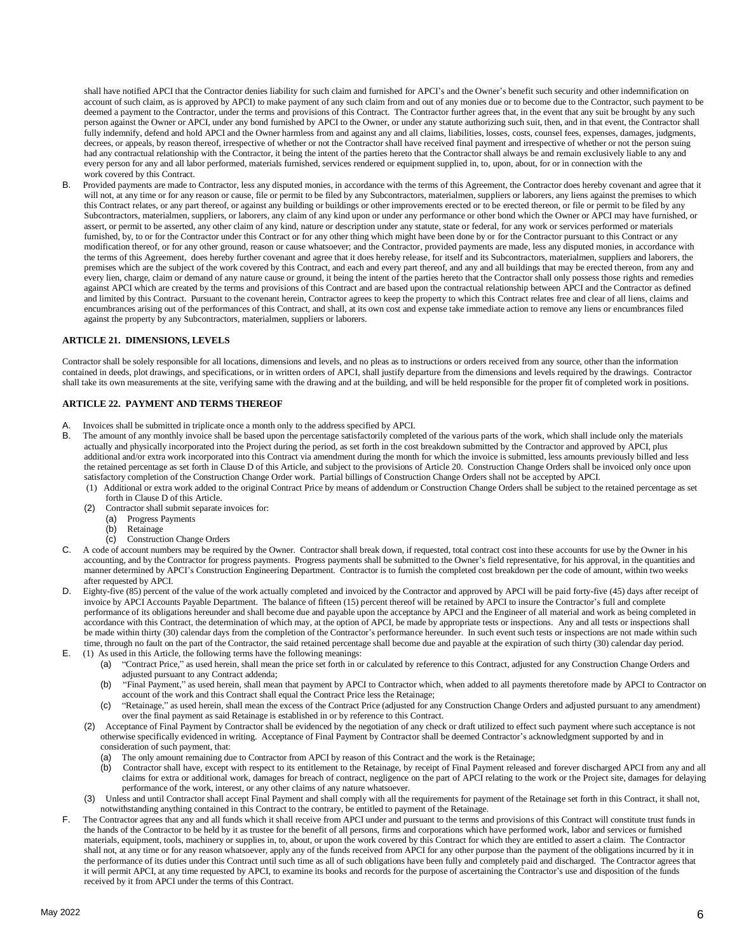shall have notified APCI that the Contractor denies liability for such claim and furnished for APCI's and the Owner's benefit such security and other indemnification on account of such claim, as is approved by APCI) to make payment of any such claim from and out of any monies due or to become due to the Contractor, such payment to be deemed a payment to the Contractor, under the terms and provisions of this Contract. The Contractor further agrees that, in the event that any suit be brought by any such person against the Owner or APCI, under any bond furnished by APCI to the Owner, or under any statute authorizing such suit, then, and in that event, the Contractor shall fully indemnify, defend and hold APCI and the Owner harmless from and against any and all claims, liabilities, losses, costs, counsel fees, expenses, damages, judgments, decrees, or appeals, by reason thereof, irrespective of whether or not the Contractor shall have received final payment and irrespective of whether or not the person suing had any contractual relationship with the Contractor, it being the intent of the parties hereto that the Contractor shall always be and remain exclusively liable to any and every person for any and all labor performed, materials furnished, services rendered or equipment supplied in, to, upon, about, for or in connection with the work covered by this Contract.

B. Provided payments are made to Contractor, less any disputed monies, in accordance with the terms of this Agreement, the Contractor does hereby covenant and agree that it will not, at any time or for any reason or cause, file or permit to be filed by any Subcontractors, materialmen, suppliers or laborers, any liens against the premises to which this Contract relates, or any part thereof, or against any building or buildings or other improvements erected or to be erected thereon, or file or permit to be filed by any Subcontractors, materialmen, suppliers, or laborers, any claim of any kind upon or under any performance or other bond which the Owner or APCI may have furnished, or assert, or permit to be asserted, any other claim of any kind, nature or description under any statute, state or federal, for any work or services performed or materials furnished, by, to or for the Contractor under this Contract or for any other thing which might have been done by or for the Contractor pursuant to this Contract or any modification thereof, or for any other ground, reason or cause whatsoever; and the Contractor, provided payments are made, less any disputed monies, in accordance with the terms of this Agreement, does hereby further covenant and agree that it does hereby release, for itself and its Subcontractors, materialmen, suppliers and laborers, the premises which are the subject of the work covered by this Contract, and each and every part thereof, and any and all buildings that may be erected thereon, from any and every lien, charge, claim or demand of any nature cause or ground, it being the intent of the parties hereto that the Contractor shall only possess those rights and remedies against APCI which are created by the terms and provisions of this Contract and are based upon the contractual relationship between APCI and the Contractor as defined and limited by this Contract. Pursuant to the covenant herein, Contractor agrees to keep the property to which this Contract relates free and clear of all liens, claims and encumbrances arising out of the performances of this Contract, and shall, at its own cost and expense take immediate action to remove any liens or encumbrances filed against the property by any Subcontractors, materialmen, suppliers or laborers.

#### **ARTICLE 21. DIMENSIONS, LEVELS**

Contractor shall be solely responsible for all locations, dimensions and levels, and no pleas as to instructions or orders received from any source, other than the information contained in deeds, plot drawings, and specifications, or in written orders of APCI, shall justify departure from the dimensions and levels required by the drawings. Contractor shall take its own measurements at the site, verifying same with the drawing and at the building, and will be held responsible for the proper fit of completed work in positions.

# **ARTICLE 22. PAYMENT AND TERMS THEREOF**

- A. Invoices shall be submitted in triplicate once a month only to the address specified by APCI.
- B. The amount of any monthly invoice shall be based upon the percentage satisfactorily completed of the various parts of the work, which shall include only the materials actually and physically incorporated into the Project during the period, as set forth in the cost breakdown submitted by the Contractor and approved by APCI, plus additional and/or extra work incorporated into this Contract via amendment during the month for which the invoice is submitted, less amounts previously billed and less the retained percentage as set forth in Clause D of this Article, and subject to the provisions of Article 20. Construction Change Orders shall be invoiced only once upon satisfactory completion of the Construction Change Order work. Partial billings of Construction Change Orders shall not be accepted by APCI.
	- (1) Additional or extra work added to the original Contract Price by means of addendum or Construction Change Orders shall be subject to the retained percentage as set forth in Clause D of this Article.
	- (2) Contractor shall submit separate invoices for:
		- (a) Progress Payments
		- **Retainage**
		- (c) Construction Change Orders
- C. A code of account numbers may be required by the Owner. Contractor shall break down, if requested, total contract cost into these accounts for use by the Owner in his accounting, and by the Contractor for progress payments. Progress payments shall be submitted to the Owner's field representative, for his approval, in the quantities and manner determined by APCI's Construction Engineering Department. Contractor is to furnish the completed cost breakdown per the code of amount, within two weeks after requested by APCI.
- D. Eighty-five (85) percent of the value of the work actually completed and invoiced by the Contractor and approved by APCI will be paid forty-five (45) days after receipt of invoice by APCI Accounts Payable Department. The balance of fifteen (15) percent thereof will be retained by APCI to insure the Contractor's full and complete performance of its obligations hereunder and shall become due and payable upon the acceptance by APCI and the Engineer of all material and work as being completed in accordance with this Contract, the determination of which may, at the option of APCI, be made by appropriate tests or inspections. Any and all tests or inspections shall be made within thirty (30) calendar days from the completion of the Contractor's performance hereunder. In such event such tests or inspections are not made within such time, through no fault on the part of the Contractor, the said retained percentage shall become due and payable at the expiration of such thirty (30) calendar day period.
- E. (1) As used in this Article, the following terms have the following meanings:
	- (a) "Contract Price," as used herein, shall mean the price set forth in or calculated by reference to this Contract, adjusted for any Construction Change Orders and adjusted pursuant to any Contract addenda;
	- (b) "Final Payment," as used herein, shall mean that payment by APCI to Contractor which, when added to all payments theretofore made by APCI to Contractor on account of the work and this Contract shall equal the Contract Price less the Retainage;
	- (c) "Retainage," as used herein, shall mean the excess of the Contract Price (adjusted for any Construction Change Orders and adjusted pursuant to any amendment) over the final payment as said Retainage is established in or by reference to this Contract.
	- (2) Acceptance of Final Payment by Contractor shall be evidenced by the negotiation of any check or draft utilized to effect such payment where such acceptance is not otherwise specifically evidenced in writing. Acceptance of Final Payment by Contractor shall be deemed Contractor's acknowledgment supported by and in consideration of such payment, that:
		- (a) The only amount remaining due to Contractor from APCI by reason of this Contract and the work is the Retainage;
		- (b) Contractor shall have, except with respect to its entitlement to the Retainage, by receipt of Final Payment released and forever discharged APCI from any and all claims for extra or additional work, damages for breach of contract, negligence on the part of APCI relating to the work or the Project site, damages for delaying performance of the work, interest, or any other claims of any nature whatsoever.
	- (3) Unless and until Contractor shall accept Final Payment and shall comply with all the requirements for payment of the Retainage set forth in this Contract, it shall not, notwithstanding anything contained in this Contract to the contrary, be entitled to payment of the Retainage.
- The Contractor agrees that any and all funds which it shall receive from APCI under and pursuant to the terms and provisions of this Contract will constitute trust funds in the hands of the Contractor to be held by it as trustee for the benefit of all persons, firms and corporations which have performed work, labor and services or furnished materials, equipment, tools, machinery or supplies in, to, about, or upon the work covered by this Contract for which they are entitled to assert a claim. The Contractor shall not, at any time or for any reason whatsoever, apply any of the funds received from APCI for any other purpose than the payment of the obligations incurred by it in the performance of its duties under this Contract until such time as all of such obligations have been fully and completely paid and discharged. The Contractor agrees that it will permit APCI, at any time requested by APCI, to examine its books and records for the purpose of ascertaining the Contractor's use and disposition of the funds received by it from APCI under the terms of this Contract.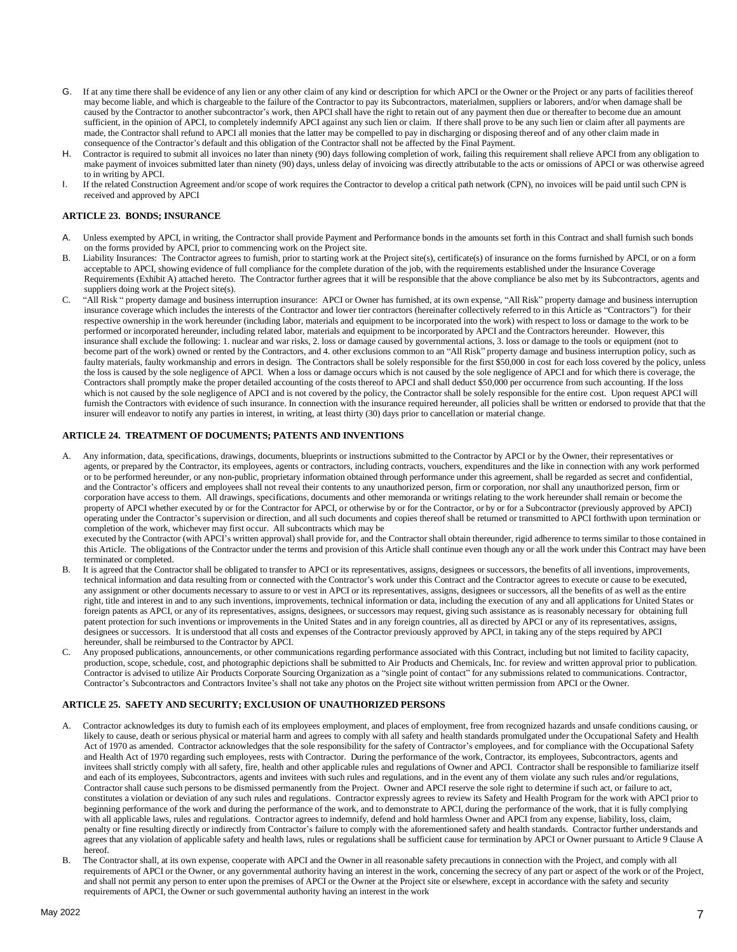- G. If at any time there shall be evidence of any lien or any other claim of any kind or description for which APCI or the Owner or the Project or any parts of facilities thereof may become liable, and which is chargeable to the failure of the Contractor to pay its Subcontractors, materialmen, suppliers or laborers, and/or when damage shall be caused by the Contractor to another subcontractor's work, then APCI shall have the right to retain out of any payment then due or thereafter to become due an amount sufficient, in the opinion of APCI, to completely indemnify APCI against any such lien or claim. If there shall prove to be any such lien or claim after all payments are made, the Contractor shall refund to APCI all monies that the latter may be compelled to pay in discharging or disposing thereof and of any other claim made in consequence of the Contractor's default and this obligation of the Contractor shall not be affected by the Final Payment.
- H. Contractor is required to submit all invoices no later than ninety (90) days following completion of work, failing this requirement shall relieve APCI from any obligation to make payment of invoices submitted later than ninety (90) days, unless delay of invoicing was directly attributable to the acts or omissions of APCI or was otherwise agreed to in writing by APCI.
- I. If the related Construction Agreement and/or scope of work requires the Contractor to develop a critical path network (CPN), no invoices will be paid until such CPN is received and approved by APCI

# **ARTICLE 23. BONDS; INSURANCE**

- A. Unless exempted by APCI, in writing, the Contractor shall provide Payment and Performance bonds in the amounts set forth in this Contract and shall furnish such bonds on the forms provided by APCI, prior to commencing work on the Project site.
- B. Liability Insurances: The Contractor agrees to furnish, prior to starting work at the Project site(s), certificate(s) of insurance on the forms furnished by APCI, or on a form acceptable to APCI, showing evidence of full compliance for the complete duration of the job, with the requirements established under the Insurance Coverage Requirements (Exhibit A) attached hereto. The Contractor further agrees that it will be responsible that the above compliance be also met by its Subcontractors, agents and suppliers doing work at the Project site(s).
- C. "All Risk " property damage and business interruption insurance: APCI or Owner has furnished, at its own expense, "All Risk" property damage and business interruption insurance coverage which includes the interests of the Contractor and lower tier contractors (hereinafter collectively referred to in this Article as "Contractors") for their respective ownership in the work hereunder (including labor, materials and equipment to be incorporated into the work) with respect to loss or damage to the work to be performed or incorporated hereunder, including related labor, materials and equipment to be incorporated by APCI and the Contractors hereunder. However, this insurance shall exclude the following: 1. nuclear and war risks, 2. loss or damage caused by governmental actions, 3. loss or damage to the tools or equipment (not to become part of the work) owned or rented by the Contractors, and 4. other exclusions common to an "All Risk" property damage and business interruption policy, such as faulty materials, faulty workmanship and errors in design. The Contractors shall be solely responsible for the first \$50,000 in cost for each loss covered by the policy, unless the loss is caused by the sole negligence of APCI. When a loss or damage occurs which is not caused by the sole negligence of APCI and for which there is coverage, the Contractors shall promptly make the proper detailed accounting of the costs thereof to APCI and shall deduct \$50,000 per occurrence from such accounting. If the loss which is not caused by the sole negligence of APCI and is not covered by the policy, the Contractor shall be solely responsible for the entire cost. Upon request APCI will furnish the Contractors with evidence of such insurance. In connection with the insurance required hereunder, all policies shall be written or endorsed to provide that that the insurer will endeavor to notify any parties in interest, in writing, at least thirty (30) days prior to cancellation or material change.

# **ARTICLE 24. TREATMENT OF DOCUMENTS; PATENTS AND INVENTIONS**

Any information, data, specifications, drawings, documents, blueprints or instructions submitted to the Contractor by APCI or by the Owner, their representatives or agents, or prepared by the Contractor, its employees, agents or contractors, including contracts, vouchers, expenditures and the like in connection with any work performed or to be performed hereunder, or any non-public, proprietary information obtained through performance under this agreement, shall be regarded as secret and confidential, and the Contractor's officers and employees shall not reveal their contents to any unauthorized person, firm or corporation, nor shall any unauthorized person, firm or corporation have access to them. All drawings, specifications, documents and other memoranda or writings relating to the work hereunder shall remain or become the property of APCI whether executed by or for the Contractor for APCI, or otherwise by or for the Contractor, or by or for a Subcontractor (previously approved by APCI) operating under the Contractor's supervision or direction, and all such documents and copies thereof shall be returned or transmitted to APCI forthwith upon termination or completion of the work, whichever may first occur. All subcontracts which may be

executed by the Contractor (with APCI's written approval) shall provide for, and the Contractor shall obtain thereunder, rigid adherence to terms similar to those contained in this Article. The obligations of the Contractor under the terms and provision of this Article shall continue even though any or all the work under this Contract may have been terminated or completed.

- B. It is agreed that the Contractor shall be obligated to transfer to APCI or its representatives, assigns, designees or successors, the benefits of all inventions, improvements, technical information and data resulting from or connected with the Contractor's work under this Contract and the Contractor agrees to execute or cause to be executed, any assignment or other documents necessary to assure to or vest in APCI or its representatives, assigns, designees or successors, all the benefits of as well as the entire right, title and interest in and to any such inventions, improvements, technical information or data, including the execution of any and all applications for United States or foreign patents as APCI, or any of its representatives, assigns, designees, or successors may request, giving such assistance as is reasonably necessary for obtaining full patent protection for such inventions or improvements in the United States and in any foreign countries, all as directed by APCI or any of its representatives, assigns, designees or successors. It is understood that all costs and expenses of the Contractor previously approved by APCI, in taking any of the steps required by APCI hereunder, shall be reimbursed to the Contractor by APCI.
- C. Any proposed publications, announcements, or other communications regarding performance associated with this Contract, including but not limited to facility capacity, production, scope, schedule, cost, and photographic depictions shall be submitted to Air Products and Chemicals, Inc. for review and written approval prior to publication. Contractor is advised to utilize Air Products Corporate Sourcing Organization as a "single point of contact" for any submissions related to communications. Contractor, Contractor's Subcontractors and Contractors Invitee's shall not take any photos on the Project site without written permission from APCI or the Owner.

#### **ARTICLE 25. SAFETY AND SECURITY; EXCLUSION OF UNAUTHORIZED PERSONS**

- A. Contractor acknowledges its duty to furnish each of its employees employment, and places of employment, free from recognized hazards and unsafe conditions causing, or likely to cause, death or serious physical or material harm and agrees to comply with all safety and health standards promulgated under the Occupational Safety and Health Act of 1970 as amended. Contractor acknowledges that the sole responsibility for the safety of Contractor's employees, and for compliance with the Occupational Safety and Health Act of 1970 regarding such employees, rests with Contractor. During the performance of the work, Contractor, its employees, Subcontractors, agents and invitees shall strictly comply with all safety, fire, health and other applicable rules and regulations of Owner and APCI. Contractor shall be responsible to familiarize itself and each of its employees, Subcontractors, agents and invitees with such rules and regulations, and in the event any of them violate any such rules and/or regulations, Contractor shall cause such persons to be dismissed permanently from the Project. Owner and APCI reserve the sole right to determine if such act, or failure to act, constitutes a violation or deviation of any such rules and regulations. Contractor expressly agrees to review its Safety and Health Program for the work with APCI prior to beginning performance of the work and during the performance of the work, and to demonstrate to APCI, during the performance of the work, that it is fully complying with all applicable laws, rules and regulations. Contractor agrees to indemnify, defend and hold harmless Owner and APCI from any expense, liability, loss, claim, penalty or fine resulting directly or indirectly from Contractor's failure to comply with the aforementioned safety and health standards. Contractor further understands and agrees that any violation of applicable safety and health laws, rules or regulations shall be sufficient cause for termination by APCI or Owner pursuant to Article 9 Clause A hereof.
- B. The Contractor shall, at its own expense, cooperate with APCI and the Owner in all reasonable safety precautions in connection with the Project, and comply with all requirements of APCI or the Owner, or any governmental authority having an interest in the work, concerning the secrecy of any part or aspect of the work or of the Project, and shall not permit any person to enter upon the premises of APCI or the Owner at the Project site or elsewhere, except in accordance with the safety and security requirements of APCI, the Owner or such governmental authority having an interest in the work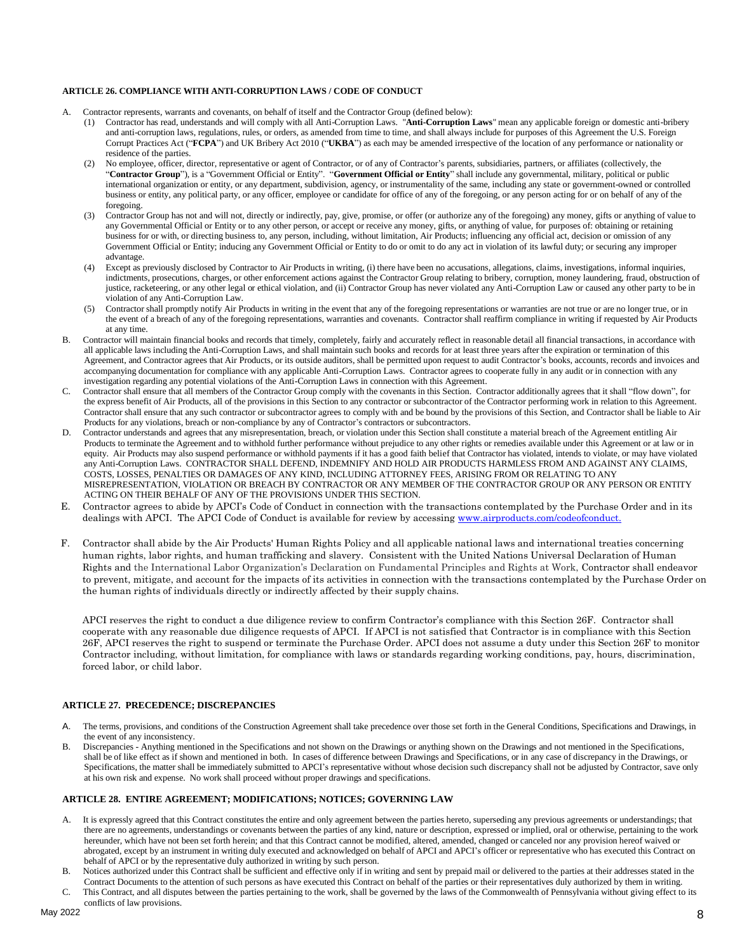#### **ARTICLE 26. COMPLIANCE WITH ANTI-CORRUPTION LAWS / CODE OF CONDUCT**

- A. Contractor represents, warrants and covenants, on behalf of itself and the Contractor Group (defined below):
	- (1) Contractor has read, understands and will comply with all Anti-Corruption Laws. "**Anti-Corruption Laws**" mean any applicable foreign or domestic anti-bribery and anti-corruption laws, regulations, rules, or orders, as amended from time to time, and shall always include for purposes of this Agreement the U.S. Foreign Corrupt Practices Act ("**FCPA**") and UK Bribery Act 2010 ("**UKBA**") as each may be amended irrespective of the location of any performance or nationality or residence of the parties.
	- (2) No employee, officer, director, representative or agent of Contractor, or of any of Contractor's parents, subsidiaries, partners, or affiliates (collectively, the "**Contractor Group**"), is a "Government Official or Entity". "**Government Official or Entity**" shall include any governmental, military, political or public international organization or entity, or any department, subdivision, agency, or instrumentality of the same, including any state or government-owned or controlled business or entity, any political party, or any officer, employee or candidate for office of any of the foregoing, or any person acting for or on behalf of any of the foregoing.
	- (3) Contractor Group has not and will not, directly or indirectly, pay, give, promise, or offer (or authorize any of the foregoing) any money, gifts or anything of value to any Governmental Official or Entity or to any other person, or accept or receive any money, gifts, or anything of value, for purposes of: obtaining or retaining business for or with, or directing business to, any person, including, without limitation, Air Products; influencing any official act, decision or omission of any Government Official or Entity; inducing any Government Official or Entity to do or omit to do any act in violation of its lawful duty; or securing any improper advantage.
	- (4) Except as previously disclosed by Contractor to Air Products in writing, (i) there have been no accusations, allegations, claims, investigations, informal inquiries, indictments, prosecutions, charges, or other enforcement actions against the Contractor Group relating to bribery, corruption, money laundering, fraud, obstruction of justice, racketeering, or any other legal or ethical violation, and (ii) Contractor Group has never violated any Anti-Corruption Law or caused any other party to be in violation of any Anti-Corruption Law.
	- (5) Contractor shall promptly notify Air Products in writing in the event that any of the foregoing representations or warranties are not true or are no longer true, or in the event of a breach of any of the foregoing representations, warranties and covenants. Contractor shall reaffirm compliance in writing if requested by Air Products at any time.
- Contractor will maintain financial books and records that timely, completely, fairly and accurately reflect in reasonable detail all financial transactions, in accordance with all applicable laws including the Anti-Corruption Laws, and shall maintain such books and records for at least three years after the expiration or termination of this Agreement, and Contractor agrees that Air Products, or its outside auditors, shall be permitted upon request to audit Contractor's books, accounts, records and invoices and accompanying documentation for compliance with any applicable Anti-Corruption Laws. Contractor agrees to cooperate fully in any audit or in connection with any investigation regarding any potential violations of the Anti-Corruption Laws in connection with this Agreement.
- C. Contractor shall ensure that all members of the Contractor Group comply with the covenants in this Section. Contractor additionally agrees that it shall "flow down", for the express benefit of Air Products, all of the provisions in this Section to any contractor or subcontractor of the Contractor performing work in relation to this Agreement. Contractor shall ensure that any such contractor or subcontractor agrees to comply with and be bound by the provisions of this Section, and Contractor shall be liable to Air Products for any violations, breach or non-compliance by any of Contractor's contractors or subcontractors.
- D. Contractor understands and agrees that any misrepresentation, breach, or violation under this Section shall constitute a material breach of the Agreement entitling Air Products to terminate the Agreement and to withhold further performance without prejudice to any other rights or remedies available under this Agreement or at law or in equity. Air Products may also suspend performance or withhold payments if it has a good faith belief that Contractor has violated, intends to violate, or may have violated any Anti-Corruption Laws. CONTRACTOR SHALL DEFEND, INDEMNIFY AND HOLD AIR PRODUCTS HARMLESS FROM AND AGAINST ANY CLAIMS, COSTS, LOSSES, PENALTIES OR DAMAGES OF ANY KIND, INCLUDING ATTORNEY FEES, ARISING FROM OR RELATING TO ANY MISREPRESENTATION, VIOLATION OR BREACH BY CONTRACTOR OR ANY MEMBER OF THE CONTRACTOR GROUP OR ANY PERSON OR ENTITY ACTING ON THEIR BEHALF OF ANY OF THE PROVISIONS UNDER THIS SECTION.
- E. Contractor agrees to abide by APCI's Code of Conduct in connection with the transactions contemplated by the Purchase Order and in its dealings with APCI. The APCI Code of Conduct is available for review by accessin[g www.airproducts.com/codeofconduct.](http://www.airproducts.com/codeofconduct.)
- F. Contractor shall abide by the Air Products' Human Rights Policy and all applicable national laws and international treaties concerning human rights, labor rights, and human trafficking and slavery. Consistent with the United Nations Universal Declaration of Human Rights and the International Labor Organization's Declaration on Fundamental Principles and Rights at Work, Contractor shall endeavor to prevent, mitigate, and account for the impacts of its activities in connection with the transactions contemplated by the Purchase Order on the human rights of individuals directly or indirectly affected by their supply chains.

APCI reserves the right to conduct a due diligence review to confirm Contractor's compliance with this Section 26F. Contractor shall cooperate with any reasonable due diligence requests of APCI. If APCI is not satisfied that Contractor is in compliance with this Section 26F, APCI reserves the right to suspend or terminate the Purchase Order. APCI does not assume a duty under this Section 26F to monitor Contractor including, without limitation, for compliance with laws or standards regarding working conditions, pay, hours, discrimination, forced labor, or child labor.

## **ARTICLE 27. PRECEDENCE; DISCREPANCIES**

- The terms, provisions, and conditions of the Construction Agreement shall take precedence over those set forth in the General Conditions, Specifications and Drawings, in the event of any inconsistency.
- B. Discrepancies Anything mentioned in the Specifications and not shown on the Drawings or anything shown on the Drawings and not mentioned in the Specifications, shall be of like effect as if shown and mentioned in both. In cases of difference between Drawings and Specifications, or in any case of discrepancy in the Drawings, or Specifications, the matter shall be immediately submitted to APCI's representative without whose decision such discrepancy shall not be adjusted by Contractor, save only at his own risk and expense. No work shall proceed without proper drawings and specifications.

#### **ARTICLE 28. ENTIRE AGREEMENT; MODIFICATIONS; NOTICES; GOVERNING LAW**

- A. It is expressly agreed that this Contract constitutes the entire and only agreement between the parties hereto, superseding any previous agreements or understandings; that there are no agreements, understandings or covenants between the parties of any kind, nature or description, expressed or implied, oral or otherwise, pertaining to the work hereunder, which have not been set forth herein; and that this Contract cannot be modified, altered, amended, changed or canceled nor any provision hereof waived or abrogated, except by an instrument in writing duly executed and acknowledged on behalf of APCI and APCI's officer or representative who has executed this Contract on behalf of APCI or by the representative duly authorized in writing by such person.
- B. Notices authorized under this Contract shall be sufficient and effective only if in writing and sent by prepaid mail or delivered to the parties at their addresses stated in the Contract Documents to the attention of such persons as have executed this Contract on behalf of the parties or their representatives duly authorized by them in writing. C. This Contract, and all disputes between the parties pertaining to the work, shall be governed by the laws of the Commonwealth of Pennsylvania without giving effect to its

conflicts of law provisions.